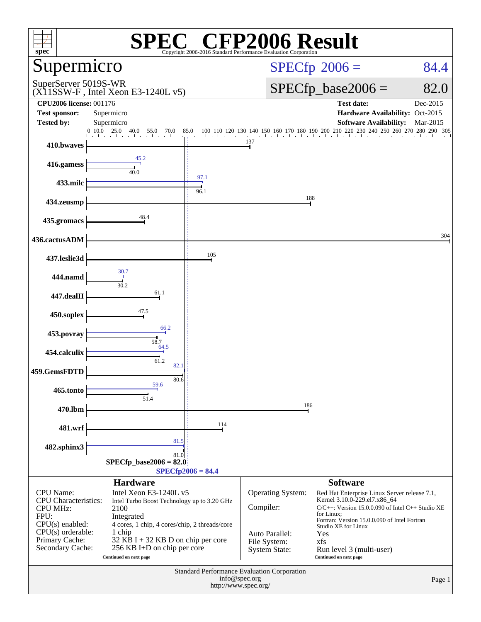| <b>CFP2006 Result</b><br>spec®<br>Copyright 2006-2016 Standard Performance Evaluation Cornoratio |                                                                       |                        |                                       |                                                                              |                    |  |  |  |
|--------------------------------------------------------------------------------------------------|-----------------------------------------------------------------------|------------------------|---------------------------------------|------------------------------------------------------------------------------|--------------------|--|--|--|
| Supermicro                                                                                       |                                                                       |                        | $SPECfp^{\circ}2006 =$                | 84.4                                                                         |                    |  |  |  |
| SuperServer 5019S-WR                                                                             | $(X11SSW-F$ , Intel Xeon E3-1240L v5)                                 |                        | $SPECfp\_base2006 =$                  | 82.0                                                                         |                    |  |  |  |
| <b>CPU2006 license: 001176</b><br><b>Test sponsor:</b>                                           | Supermicro                                                            |                        |                                       | <b>Test date:</b><br>Hardware Availability: Oct-2015                         | Dec-2015           |  |  |  |
| <b>Tested by:</b>                                                                                | Supermicro                                                            |                        |                                       | <b>Software Availability:</b>                                                | Mar-2015           |  |  |  |
| 410.bwaves                                                                                       | 0, 10.0<br>$\overline{25.0}$<br>40.0<br>55.0<br>70.0                  | 85.0<br>100 110<br>120 | 130<br>150<br>137                     | 160 170 180 190 200 210 220 230<br>240<br>260<br>250                         | 270<br>280 290 305 |  |  |  |
| 416.gamess                                                                                       | 45.2<br>40.0                                                          |                        |                                       |                                                                              |                    |  |  |  |
| 433.milc                                                                                         |                                                                       | 97.1<br>96.1           |                                       |                                                                              |                    |  |  |  |
| 434.zeusmp                                                                                       |                                                                       |                        |                                       | 188                                                                          |                    |  |  |  |
| 435.gromacs                                                                                      | 48.4                                                                  |                        |                                       |                                                                              |                    |  |  |  |
| 436.cactusADM                                                                                    |                                                                       |                        |                                       |                                                                              | 304                |  |  |  |
| 437.leslie3d                                                                                     |                                                                       | 105                    |                                       |                                                                              |                    |  |  |  |
| 444.namd                                                                                         | 30.7<br>30.2                                                          |                        |                                       |                                                                              |                    |  |  |  |
| 447.dealII                                                                                       | 61.1                                                                  |                        |                                       |                                                                              |                    |  |  |  |
| 450.soplex                                                                                       | 47.5                                                                  |                        |                                       |                                                                              |                    |  |  |  |
| 453.povray                                                                                       | 66.2<br>58.7                                                          |                        |                                       |                                                                              |                    |  |  |  |
| 454.calculix                                                                                     | 64.5<br>61.2                                                          |                        |                                       |                                                                              |                    |  |  |  |
| 459.GemsFDTD                                                                                     | 82.1<br>80.6                                                          |                        |                                       |                                                                              |                    |  |  |  |
| 465.tonto                                                                                        | 59.6<br>51.4                                                          |                        |                                       |                                                                              |                    |  |  |  |
| 470.lbm                                                                                          |                                                                       |                        | 186                                   |                                                                              |                    |  |  |  |
| 481.wrf                                                                                          | 81.5                                                                  | 114                    |                                       |                                                                              |                    |  |  |  |
| 482.sphinx3                                                                                      | 81.0                                                                  |                        |                                       |                                                                              |                    |  |  |  |
|                                                                                                  | SPECfp base2006 = $82.0$                                              | $SPECfp2006 = 84.4$    |                                       |                                                                              |                    |  |  |  |
|                                                                                                  | <b>Hardware</b>                                                       |                        |                                       | <b>Software</b>                                                              |                    |  |  |  |
| CPU Name:<br><b>CPU</b> Characteristics:                                                         | Intel Xeon E3-1240L v5<br>Intel Turbo Boost Technology up to 3.20 GHz |                        | Operating System:                     | Red Hat Enterprise Linux Server release 7.1,<br>Kernel 3.10.0-229.el7.x86_64 |                    |  |  |  |
| <b>CPU MHz:</b><br>FPU:                                                                          | 2100<br>Integrated                                                    |                        | Compiler:                             | $C/C++$ : Version 15.0.0.090 of Intel $C++$ Studio XE<br>for Linux;          |                    |  |  |  |
| $CPU(s)$ enabled:                                                                                | 4 cores, 1 chip, 4 cores/chip, 2 threads/core                         |                        |                                       | Fortran: Version 15.0.0.090 of Intel Fortran<br>Studio XE for Linux          |                    |  |  |  |
| $CPU(s)$ orderable:<br>Primary Cache:                                                            | 1 chip<br>$32$ KB I + 32 KB D on chip per core                        |                        | Auto Parallel:<br>File System:        | Yes<br>xfs                                                                   |                    |  |  |  |
| Secondary Cache:                                                                                 | 256 KB I+D on chip per core<br>Continued on next page                 |                        | <b>System State:</b>                  | Run level 3 (multi-user)<br>Continued on next page                           |                    |  |  |  |
| Standard Performance Evaluation Corporation                                                      |                                                                       |                        |                                       |                                                                              |                    |  |  |  |
|                                                                                                  |                                                                       |                        | info@spec.org<br>http://www.spec.org/ |                                                                              | Page 1             |  |  |  |
|                                                                                                  |                                                                       |                        |                                       |                                                                              |                    |  |  |  |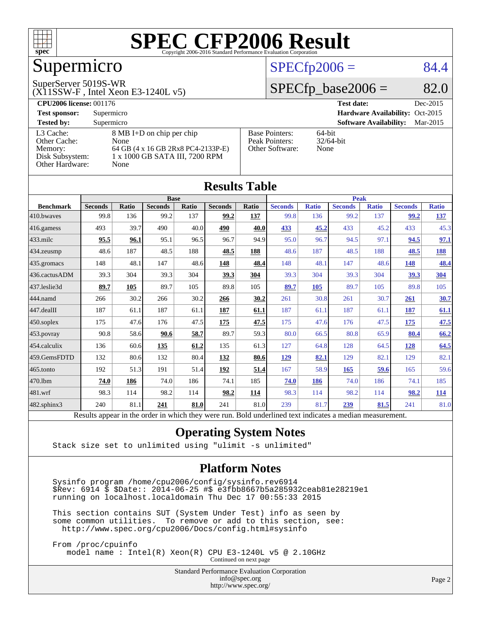

# Supermicro

#### SuperServer 5019S-WR

#### (X11SSW-F , Intel Xeon E3-1240L v5)

### $SPECfp2006 = 84.4$  $SPECfp2006 = 84.4$

### $SPECfp\_base2006 = 82.0$

| <b>CPU2006 license: 001176</b> |                                    |                       | <b>Test date:</b><br>Dec-2015             |
|--------------------------------|------------------------------------|-----------------------|-------------------------------------------|
| <b>Test sponsor:</b>           | Supermicro                         |                       | Hardware Availability: Oct-2015           |
| <b>Tested by:</b>              | Supermicro                         |                       | <b>Software Availability:</b><br>Mar-2015 |
| L3 Cache:                      | 8 MB I+D on chip per chip          | <b>Base Pointers:</b> | $64$ -bit                                 |
| Other Cache:                   | None                               | Peak Pointers:        | $32/64$ -bit                              |
| Memory:                        | 64 GB (4 x 16 GB 2Rx8 PC4-2133P-E) | Other Software:       | None                                      |
| Disk Subsystem:                | 1 x 1000 GB SATA III, 7200 RPM     |                       |                                           |
| Other Hardware:                | None                               |                       |                                           |

| <b>Results Table</b>                                                                                     |                |              |                |       |                |            |                |              |                |              |                |              |
|----------------------------------------------------------------------------------------------------------|----------------|--------------|----------------|-------|----------------|------------|----------------|--------------|----------------|--------------|----------------|--------------|
|                                                                                                          | <b>Base</b>    |              |                |       |                |            | <b>Peak</b>    |              |                |              |                |              |
| <b>Benchmark</b>                                                                                         | <b>Seconds</b> | <b>Ratio</b> | <b>Seconds</b> | Ratio | <b>Seconds</b> | Ratio      | <b>Seconds</b> | <b>Ratio</b> | <b>Seconds</b> | <b>Ratio</b> | <b>Seconds</b> | <b>Ratio</b> |
| 410.bwayes                                                                                               | 99.8           | 136          | 99.2           | 137   | 99.2           | <b>137</b> | 99.8           | 136          | 99.2           | 137          | 99.2           | 137          |
| 416.gamess                                                                                               | 493            | 39.7         | 490            | 40.0  | 490            | 40.0       | 433            | 45.2         | 433            | 45.2         | 433            | 45.3         |
| $433$ .milc                                                                                              | 95.5           | 96.1         | 95.1           | 96.5  | 96.7           | 94.9       | 95.0           | 96.7         | 94.5           | 97.1         | 94.5           | 97.1         |
| 434.zeusmp                                                                                               | 48.6           | 187          | 48.5           | 188   | 48.5           | 188        | 48.6           | 187          | 48.5           | 188          | 48.5           | <u>188</u>   |
| 435.gromacs                                                                                              | 148            | 48.1         | 147            | 48.6  | <u>148</u>     | 48.4       | 148            | 48.1         | 147            | 48.6         | 148            | 48.4         |
| 436.cactusADM                                                                                            | 39.3           | 304          | 39.3           | 304   | 39.3           | 304        | 39.3           | 304          | 39.3           | 304          | 39.3           | <u>304</u>   |
| 437.leslie3d                                                                                             | 89.7           | 105          | 89.7           | 105   | 89.8           | 105        | 89.7           | 105          | 89.7           | 105          | 89.8           | 105          |
| 444.namd                                                                                                 | 266            | 30.2         | 266            | 30.2  | 266            | 30.2       | 261            | 30.8         | 261            | 30.7         | 261            | 30.7         |
| 447.dealII                                                                                               | 187            | 61.1         | 187            | 61.1  | 187            | 61.1       | 187            | 61.1         | 187            | 61.1         | 187            | 61.1         |
| 450.soplex                                                                                               | 175            | 47.6         | 176            | 47.5  | 175            | 47.5       | 175            | 47.6         | 176            | 47.5         | 175            | <u>47.5</u>  |
| 453.povray                                                                                               | 90.8           | 58.6         | 90.6           | 58.7  | 89.7           | 59.3       | 80.0           | 66.5         | 80.8           | 65.9         | 80.4           | 66.2         |
| 454.calculix                                                                                             | 136            | 60.6         | 135            | 61.2  | 135            | 61.3       | 127            | 64.8         | 128            | 64.5         | <u>128</u>     | 64.5         |
| 459.GemsFDTD                                                                                             | 132            | 80.6         | 132            | 80.4  | 132            | 80.6       | 129            | 82.1         | 129            | 82.1         | 129            | 82.1         |
| 465.tonto                                                                                                | 192            | 51.3         | 191            | 51.4  | 192            | 51.4       | 167            | 58.9         | 165            | 59.6         | 165            | 59.6         |
| 470.1bm                                                                                                  | 74.0           | 186          | 74.0           | 186   | 74.1           | 185        | 74.0           | 186          | 74.0           | 186          | 74.1           | 185          |
| 481.wrf                                                                                                  | 98.3           | 114          | 98.2           | 114   | 98.2           | 114        | 98.3           | 114          | 98.2           | 114          | 98.2           | <b>114</b>   |
| 482.sphinx3                                                                                              | 240            | 81.1         | 241            | 81.0  | 241            | 81.0       | 239            | 81.7         | 239            | 81.5         | 241            | 81.0         |
| Results appear in the order in which they were run. Bold underlined text indicates a median measurement. |                |              |                |       |                |            |                |              |                |              |                |              |

### **[Operating System Notes](http://www.spec.org/auto/cpu2006/Docs/result-fields.html#OperatingSystemNotes)**

Stack size set to unlimited using "ulimit -s unlimited"

### **[Platform Notes](http://www.spec.org/auto/cpu2006/Docs/result-fields.html#PlatformNotes)**

 Sysinfo program /home/cpu2006/config/sysinfo.rev6914 \$Rev: 6914 \$ \$Date:: 2014-06-25 #\$ e3fbb8667b5a285932ceab81e28219e1 running on localhost.localdomain Thu Dec 17 00:55:33 2015

 This section contains SUT (System Under Test) info as seen by some common utilities. To remove or add to this section, see: <http://www.spec.org/cpu2006/Docs/config.html#sysinfo>

 From /proc/cpuinfo model name : Intel(R) Xeon(R) CPU E3-1240L v5 @ 2.10GHz

Continued on next page

Standard Performance Evaluation Corporation [info@spec.org](mailto:info@spec.org) <http://www.spec.org/>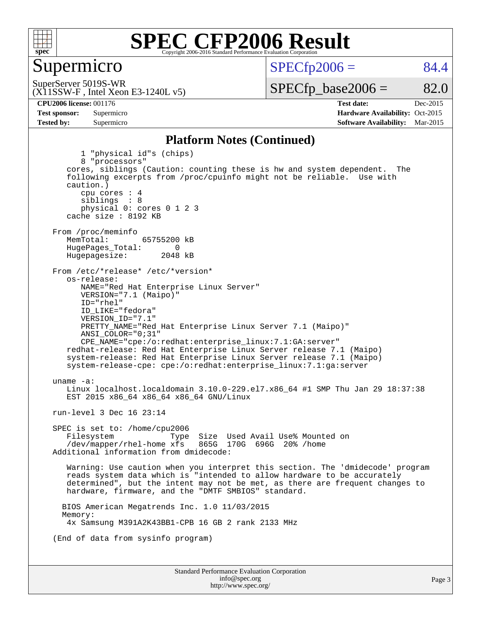

### Supermicro

 $SPECTp2006 = 84.4$ 

SuperServer 5019S-WR

 $SPECTp\_base2006 = 82.0$ 

(X11SSW-F , Intel Xeon E3-1240L v5)

**[CPU2006 license:](http://www.spec.org/auto/cpu2006/Docs/result-fields.html#CPU2006license)** 001176 **[Test date:](http://www.spec.org/auto/cpu2006/Docs/result-fields.html#Testdate)** Dec-2015 **[Test sponsor:](http://www.spec.org/auto/cpu2006/Docs/result-fields.html#Testsponsor)** Supermicro Supermicro **[Hardware Availability:](http://www.spec.org/auto/cpu2006/Docs/result-fields.html#HardwareAvailability)** Oct-2015 **[Tested by:](http://www.spec.org/auto/cpu2006/Docs/result-fields.html#Testedby)** Supermicro **Supermicro [Software Availability:](http://www.spec.org/auto/cpu2006/Docs/result-fields.html#SoftwareAvailability)** Mar-2015

### **[Platform Notes \(Continued\)](http://www.spec.org/auto/cpu2006/Docs/result-fields.html#PlatformNotes)**

Standard Performance Evaluation Corporation [info@spec.org](mailto:info@spec.org) 1 "physical id"s (chips) 8 "processors" cores, siblings (Caution: counting these is hw and system dependent. The following excerpts from /proc/cpuinfo might not be reliable. Use with caution.) cpu cores : 4 siblings : 8 physical 0: cores 0 1 2 3 cache size : 8192 KB From /proc/meminfo<br>MemTotal: 65755200 kB HugePages\_Total: 0<br>Hugepagesize: 2048 kB Hugepagesize: From /etc/\*release\* /etc/\*version\* os-release: NAME="Red Hat Enterprise Linux Server" VERSION="7.1 (Maipo)" ID="rhel" ID\_LIKE="fedora" VERSION\_ID="7.1" PRETTY\_NAME="Red Hat Enterprise Linux Server 7.1 (Maipo)" ANSI\_COLOR="0;31" CPE\_NAME="cpe:/o:redhat:enterprise\_linux:7.1:GA:server" redhat-release: Red Hat Enterprise Linux Server release 7.1 (Maipo) system-release: Red Hat Enterprise Linux Server release 7.1 (Maipo) system-release-cpe: cpe:/o:redhat:enterprise\_linux:7.1:ga:server uname -a: Linux localhost.localdomain 3.10.0-229.el7.x86\_64 #1 SMP Thu Jan 29 18:37:38 EST 2015 x86\_64 x86\_64 x86\_64 GNU/Linux run-level 3 Dec 16 23:14 SPEC is set to: /home/cpu2006 Filesystem Type Size Used Avail Use% Mounted on<br>/dev/mapper/rhel-home xfs 865G 170G 696G 20% /home  $/$ dev/mapper/rhel-home  $x$ fs Additional information from dmidecode: Warning: Use caution when you interpret this section. The 'dmidecode' program reads system data which is "intended to allow hardware to be accurately determined", but the intent may not be met, as there are frequent changes to hardware, firmware, and the "DMTF SMBIOS" standard. BIOS American Megatrends Inc. 1.0 11/03/2015 Memory: 4x Samsung M391A2K43BB1-CPB 16 GB 2 rank 2133 MHz (End of data from sysinfo program)

<http://www.spec.org/>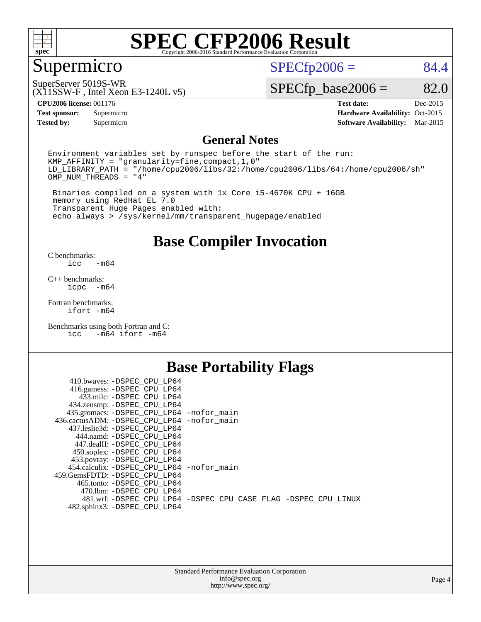

## Supermicro

 $SPECfp2006 = 84.4$  $SPECfp2006 = 84.4$ 

SuperServer 5019S-WR

(X11SSW-F , Intel Xeon E3-1240L v5)

 $SPECfp\_base2006 = 82.0$ 

**[Tested by:](http://www.spec.org/auto/cpu2006/Docs/result-fields.html#Testedby)** Supermicro **[Software Availability:](http://www.spec.org/auto/cpu2006/Docs/result-fields.html#SoftwareAvailability)** Mar-2015

**[CPU2006 license:](http://www.spec.org/auto/cpu2006/Docs/result-fields.html#CPU2006license)** 001176 **[Test date:](http://www.spec.org/auto/cpu2006/Docs/result-fields.html#Testdate)** Dec-2015 **[Test sponsor:](http://www.spec.org/auto/cpu2006/Docs/result-fields.html#Testsponsor)** Supermicro Supermicro **[Hardware Availability:](http://www.spec.org/auto/cpu2006/Docs/result-fields.html#HardwareAvailability)** Oct-2015

### **[General Notes](http://www.spec.org/auto/cpu2006/Docs/result-fields.html#GeneralNotes)**

Environment variables set by runspec before the start of the run: KMP\_AFFINITY = "granularity=fine,compact,1,0" LD\_LIBRARY\_PATH = "/home/cpu2006/libs/32:/home/cpu2006/libs/64:/home/cpu2006/sh" OMP\_NUM\_THREADS = "4"

 Binaries compiled on a system with 1x Core i5-4670K CPU + 16GB memory using RedHat EL 7.0 Transparent Huge Pages enabled with: echo always > /sys/kernel/mm/transparent\_hugepage/enabled

**[Base Compiler Invocation](http://www.spec.org/auto/cpu2006/Docs/result-fields.html#BaseCompilerInvocation)**

[C benchmarks](http://www.spec.org/auto/cpu2006/Docs/result-fields.html#Cbenchmarks):  $-m64$ 

[C++ benchmarks:](http://www.spec.org/auto/cpu2006/Docs/result-fields.html#CXXbenchmarks) [icpc -m64](http://www.spec.org/cpu2006/results/res2016q1/cpu2006-20151223-38501.flags.html#user_CXXbase_intel_icpc_64bit_bedb90c1146cab66620883ef4f41a67e)

[Fortran benchmarks](http://www.spec.org/auto/cpu2006/Docs/result-fields.html#Fortranbenchmarks): [ifort -m64](http://www.spec.org/cpu2006/results/res2016q1/cpu2006-20151223-38501.flags.html#user_FCbase_intel_ifort_64bit_ee9d0fb25645d0210d97eb0527dcc06e)

[Benchmarks using both Fortran and C](http://www.spec.org/auto/cpu2006/Docs/result-fields.html#BenchmarksusingbothFortranandC): [icc -m64](http://www.spec.org/cpu2006/results/res2016q1/cpu2006-20151223-38501.flags.html#user_CC_FCbase_intel_icc_64bit_0b7121f5ab7cfabee23d88897260401c) [ifort -m64](http://www.spec.org/cpu2006/results/res2016q1/cpu2006-20151223-38501.flags.html#user_CC_FCbase_intel_ifort_64bit_ee9d0fb25645d0210d97eb0527dcc06e)

### **[Base Portability Flags](http://www.spec.org/auto/cpu2006/Docs/result-fields.html#BasePortabilityFlags)**

| 410.bwaves: -DSPEC CPU LP64                 |                                                                |
|---------------------------------------------|----------------------------------------------------------------|
| 416.gamess: -DSPEC_CPU_LP64                 |                                                                |
| 433.milc: -DSPEC CPU LP64                   |                                                                |
| 434.zeusmp: -DSPEC_CPU_LP64                 |                                                                |
| 435.gromacs: -DSPEC_CPU_LP64 -nofor_main    |                                                                |
| 436.cactusADM: -DSPEC CPU LP64 -nofor main  |                                                                |
| 437.leslie3d: -DSPEC CPU LP64               |                                                                |
| 444.namd: -DSPEC CPU LP64                   |                                                                |
| 447.dealII: -DSPEC CPU LP64                 |                                                                |
| 450.soplex: -DSPEC_CPU_LP64                 |                                                                |
| 453.povray: -DSPEC CPU LP64                 |                                                                |
| 454.calculix: - DSPEC CPU LP64 - nofor main |                                                                |
| 459. GemsFDTD: - DSPEC CPU LP64             |                                                                |
| 465.tonto: - DSPEC CPU LP64                 |                                                                |
| 470.1bm: -DSPEC CPU LP64                    |                                                                |
|                                             | 481.wrf: -DSPEC CPU_LP64 -DSPEC_CPU_CASE_FLAG -DSPEC_CPU_LINUX |
| 482.sphinx3: -DSPEC_CPU_LP64                |                                                                |
|                                             |                                                                |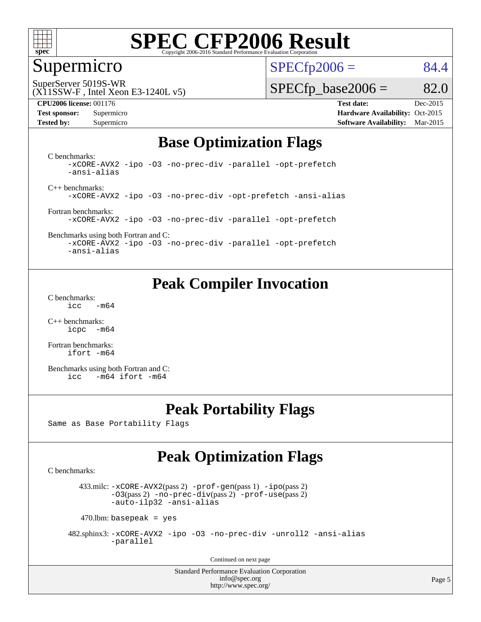

### Supermicro

 $SPECTp2006 = 84.4$ 

SuperServer 5019S-WR

#### (X11SSW-F , Intel Xeon E3-1240L v5)

#### **[CPU2006 license:](http://www.spec.org/auto/cpu2006/Docs/result-fields.html#CPU2006license)** 001176 **[Test date:](http://www.spec.org/auto/cpu2006/Docs/result-fields.html#Testdate)** Dec-2015

 $SPECTp\_base2006 = 82.0$ 

**[Test sponsor:](http://www.spec.org/auto/cpu2006/Docs/result-fields.html#Testsponsor)** Supermicro Supermicro **[Hardware Availability:](http://www.spec.org/auto/cpu2006/Docs/result-fields.html#HardwareAvailability)** Oct-2015 **[Tested by:](http://www.spec.org/auto/cpu2006/Docs/result-fields.html#Testedby)** Supermicro **Supermicro [Software Availability:](http://www.spec.org/auto/cpu2006/Docs/result-fields.html#SoftwareAvailability)** Mar-2015

### **[Base Optimization Flags](http://www.spec.org/auto/cpu2006/Docs/result-fields.html#BaseOptimizationFlags)**

[C benchmarks](http://www.spec.org/auto/cpu2006/Docs/result-fields.html#Cbenchmarks): [-xCORE-AVX2](http://www.spec.org/cpu2006/results/res2016q1/cpu2006-20151223-38501.flags.html#user_CCbase_f-xAVX2_5f5fc0cbe2c9f62c816d3e45806c70d7) [-ipo](http://www.spec.org/cpu2006/results/res2016q1/cpu2006-20151223-38501.flags.html#user_CCbase_f-ipo) [-O3](http://www.spec.org/cpu2006/results/res2016q1/cpu2006-20151223-38501.flags.html#user_CCbase_f-O3) [-no-prec-div](http://www.spec.org/cpu2006/results/res2016q1/cpu2006-20151223-38501.flags.html#user_CCbase_f-no-prec-div) [-parallel](http://www.spec.org/cpu2006/results/res2016q1/cpu2006-20151223-38501.flags.html#user_CCbase_f-parallel) [-opt-prefetch](http://www.spec.org/cpu2006/results/res2016q1/cpu2006-20151223-38501.flags.html#user_CCbase_f-opt-prefetch) [-ansi-alias](http://www.spec.org/cpu2006/results/res2016q1/cpu2006-20151223-38501.flags.html#user_CCbase_f-ansi-alias)

[C++ benchmarks:](http://www.spec.org/auto/cpu2006/Docs/result-fields.html#CXXbenchmarks) [-xCORE-AVX2](http://www.spec.org/cpu2006/results/res2016q1/cpu2006-20151223-38501.flags.html#user_CXXbase_f-xAVX2_5f5fc0cbe2c9f62c816d3e45806c70d7) [-ipo](http://www.spec.org/cpu2006/results/res2016q1/cpu2006-20151223-38501.flags.html#user_CXXbase_f-ipo) [-O3](http://www.spec.org/cpu2006/results/res2016q1/cpu2006-20151223-38501.flags.html#user_CXXbase_f-O3) [-no-prec-div](http://www.spec.org/cpu2006/results/res2016q1/cpu2006-20151223-38501.flags.html#user_CXXbase_f-no-prec-div) [-opt-prefetch](http://www.spec.org/cpu2006/results/res2016q1/cpu2006-20151223-38501.flags.html#user_CXXbase_f-opt-prefetch) [-ansi-alias](http://www.spec.org/cpu2006/results/res2016q1/cpu2006-20151223-38501.flags.html#user_CXXbase_f-ansi-alias)

[Fortran benchmarks](http://www.spec.org/auto/cpu2006/Docs/result-fields.html#Fortranbenchmarks): [-xCORE-AVX2](http://www.spec.org/cpu2006/results/res2016q1/cpu2006-20151223-38501.flags.html#user_FCbase_f-xAVX2_5f5fc0cbe2c9f62c816d3e45806c70d7) [-ipo](http://www.spec.org/cpu2006/results/res2016q1/cpu2006-20151223-38501.flags.html#user_FCbase_f-ipo) [-O3](http://www.spec.org/cpu2006/results/res2016q1/cpu2006-20151223-38501.flags.html#user_FCbase_f-O3) [-no-prec-div](http://www.spec.org/cpu2006/results/res2016q1/cpu2006-20151223-38501.flags.html#user_FCbase_f-no-prec-div) [-parallel](http://www.spec.org/cpu2006/results/res2016q1/cpu2006-20151223-38501.flags.html#user_FCbase_f-parallel) [-opt-prefetch](http://www.spec.org/cpu2006/results/res2016q1/cpu2006-20151223-38501.flags.html#user_FCbase_f-opt-prefetch)

[Benchmarks using both Fortran and C](http://www.spec.org/auto/cpu2006/Docs/result-fields.html#BenchmarksusingbothFortranandC): [-xCORE-AVX2](http://www.spec.org/cpu2006/results/res2016q1/cpu2006-20151223-38501.flags.html#user_CC_FCbase_f-xAVX2_5f5fc0cbe2c9f62c816d3e45806c70d7) [-ipo](http://www.spec.org/cpu2006/results/res2016q1/cpu2006-20151223-38501.flags.html#user_CC_FCbase_f-ipo) [-O3](http://www.spec.org/cpu2006/results/res2016q1/cpu2006-20151223-38501.flags.html#user_CC_FCbase_f-O3) [-no-prec-div](http://www.spec.org/cpu2006/results/res2016q1/cpu2006-20151223-38501.flags.html#user_CC_FCbase_f-no-prec-div) [-parallel](http://www.spec.org/cpu2006/results/res2016q1/cpu2006-20151223-38501.flags.html#user_CC_FCbase_f-parallel) [-opt-prefetch](http://www.spec.org/cpu2006/results/res2016q1/cpu2006-20151223-38501.flags.html#user_CC_FCbase_f-opt-prefetch)

[-ansi-alias](http://www.spec.org/cpu2006/results/res2016q1/cpu2006-20151223-38501.flags.html#user_CC_FCbase_f-ansi-alias)

### **[Peak Compiler Invocation](http://www.spec.org/auto/cpu2006/Docs/result-fields.html#PeakCompilerInvocation)**

[C benchmarks](http://www.spec.org/auto/cpu2006/Docs/result-fields.html#Cbenchmarks):  $\text{icc}$  -m64

[C++ benchmarks:](http://www.spec.org/auto/cpu2006/Docs/result-fields.html#CXXbenchmarks) [icpc -m64](http://www.spec.org/cpu2006/results/res2016q1/cpu2006-20151223-38501.flags.html#user_CXXpeak_intel_icpc_64bit_bedb90c1146cab66620883ef4f41a67e)

[Fortran benchmarks](http://www.spec.org/auto/cpu2006/Docs/result-fields.html#Fortranbenchmarks): [ifort -m64](http://www.spec.org/cpu2006/results/res2016q1/cpu2006-20151223-38501.flags.html#user_FCpeak_intel_ifort_64bit_ee9d0fb25645d0210d97eb0527dcc06e)

[Benchmarks using both Fortran and C](http://www.spec.org/auto/cpu2006/Docs/result-fields.html#BenchmarksusingbothFortranandC): [icc -m64](http://www.spec.org/cpu2006/results/res2016q1/cpu2006-20151223-38501.flags.html#user_CC_FCpeak_intel_icc_64bit_0b7121f5ab7cfabee23d88897260401c) [ifort -m64](http://www.spec.org/cpu2006/results/res2016q1/cpu2006-20151223-38501.flags.html#user_CC_FCpeak_intel_ifort_64bit_ee9d0fb25645d0210d97eb0527dcc06e)

### **[Peak Portability Flags](http://www.spec.org/auto/cpu2006/Docs/result-fields.html#PeakPortabilityFlags)**

Same as Base Portability Flags

### **[Peak Optimization Flags](http://www.spec.org/auto/cpu2006/Docs/result-fields.html#PeakOptimizationFlags)**

[C benchmarks](http://www.spec.org/auto/cpu2006/Docs/result-fields.html#Cbenchmarks):

 433.milc: [-xCORE-AVX2](http://www.spec.org/cpu2006/results/res2016q1/cpu2006-20151223-38501.flags.html#user_peakPASS2_CFLAGSPASS2_LDFLAGS433_milc_f-xAVX2_5f5fc0cbe2c9f62c816d3e45806c70d7)(pass 2) [-prof-gen](http://www.spec.org/cpu2006/results/res2016q1/cpu2006-20151223-38501.flags.html#user_peakPASS1_CFLAGSPASS1_LDFLAGS433_milc_prof_gen_e43856698f6ca7b7e442dfd80e94a8fc)(pass 1) [-ipo](http://www.spec.org/cpu2006/results/res2016q1/cpu2006-20151223-38501.flags.html#user_peakPASS2_CFLAGSPASS2_LDFLAGS433_milc_f-ipo)(pass 2) [-O3](http://www.spec.org/cpu2006/results/res2016q1/cpu2006-20151223-38501.flags.html#user_peakPASS2_CFLAGSPASS2_LDFLAGS433_milc_f-O3)(pass 2) [-no-prec-div](http://www.spec.org/cpu2006/results/res2016q1/cpu2006-20151223-38501.flags.html#user_peakPASS2_CFLAGSPASS2_LDFLAGS433_milc_f-no-prec-div)(pass 2) [-prof-use](http://www.spec.org/cpu2006/results/res2016q1/cpu2006-20151223-38501.flags.html#user_peakPASS2_CFLAGSPASS2_LDFLAGS433_milc_prof_use_bccf7792157ff70d64e32fe3e1250b55)(pass 2) [-auto-ilp32](http://www.spec.org/cpu2006/results/res2016q1/cpu2006-20151223-38501.flags.html#user_peakCOPTIMIZE433_milc_f-auto-ilp32) [-ansi-alias](http://www.spec.org/cpu2006/results/res2016q1/cpu2006-20151223-38501.flags.html#user_peakCOPTIMIZE433_milc_f-ansi-alias)

 $470$ .lbm: basepeak = yes

 482.sphinx3: [-xCORE-AVX2](http://www.spec.org/cpu2006/results/res2016q1/cpu2006-20151223-38501.flags.html#user_peakOPTIMIZE482_sphinx3_f-xAVX2_5f5fc0cbe2c9f62c816d3e45806c70d7) [-ipo](http://www.spec.org/cpu2006/results/res2016q1/cpu2006-20151223-38501.flags.html#user_peakOPTIMIZE482_sphinx3_f-ipo) [-O3](http://www.spec.org/cpu2006/results/res2016q1/cpu2006-20151223-38501.flags.html#user_peakOPTIMIZE482_sphinx3_f-O3) [-no-prec-div](http://www.spec.org/cpu2006/results/res2016q1/cpu2006-20151223-38501.flags.html#user_peakOPTIMIZE482_sphinx3_f-no-prec-div) [-unroll2](http://www.spec.org/cpu2006/results/res2016q1/cpu2006-20151223-38501.flags.html#user_peakCOPTIMIZE482_sphinx3_f-unroll_784dae83bebfb236979b41d2422d7ec2) [-ansi-alias](http://www.spec.org/cpu2006/results/res2016q1/cpu2006-20151223-38501.flags.html#user_peakCOPTIMIZE482_sphinx3_f-ansi-alias) [-parallel](http://www.spec.org/cpu2006/results/res2016q1/cpu2006-20151223-38501.flags.html#user_peakCOPTIMIZE482_sphinx3_f-parallel)

Continued on next page

Standard Performance Evaluation Corporation [info@spec.org](mailto:info@spec.org) <http://www.spec.org/>

Page 5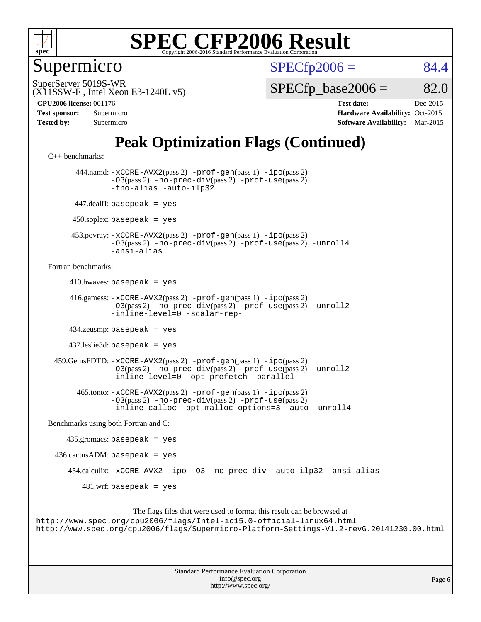

Supermicro

 $SPECTp2006 = 84.4$ 

(X11SSW-F , Intel Xeon E3-1240L v5) SuperServer 5019S-WR

 $SPECTp\_base2006 = 82.0$ 

**[CPU2006 license:](http://www.spec.org/auto/cpu2006/Docs/result-fields.html#CPU2006license)** 001176 **[Test date:](http://www.spec.org/auto/cpu2006/Docs/result-fields.html#Testdate)** Dec-2015

| <b>Test sponsor:</b> | Supermicro |
|----------------------|------------|
| <b>Tested by:</b>    | Supermicro |

**[Hardware Availability:](http://www.spec.org/auto/cpu2006/Docs/result-fields.html#HardwareAvailability)** Oct-2015 **[Software Availability:](http://www.spec.org/auto/cpu2006/Docs/result-fields.html#SoftwareAvailability)** Mar-2015

## **[Peak Optimization Flags \(Continued\)](http://www.spec.org/auto/cpu2006/Docs/result-fields.html#PeakOptimizationFlags)**

[C++ benchmarks:](http://www.spec.org/auto/cpu2006/Docs/result-fields.html#CXXbenchmarks)

 444.namd: [-xCORE-AVX2](http://www.spec.org/cpu2006/results/res2016q1/cpu2006-20151223-38501.flags.html#user_peakPASS2_CXXFLAGSPASS2_LDFLAGS444_namd_f-xAVX2_5f5fc0cbe2c9f62c816d3e45806c70d7)(pass 2) [-prof-gen](http://www.spec.org/cpu2006/results/res2016q1/cpu2006-20151223-38501.flags.html#user_peakPASS1_CXXFLAGSPASS1_LDFLAGS444_namd_prof_gen_e43856698f6ca7b7e442dfd80e94a8fc)(pass 1) [-ipo](http://www.spec.org/cpu2006/results/res2016q1/cpu2006-20151223-38501.flags.html#user_peakPASS2_CXXFLAGSPASS2_LDFLAGS444_namd_f-ipo)(pass 2) [-O3](http://www.spec.org/cpu2006/results/res2016q1/cpu2006-20151223-38501.flags.html#user_peakPASS2_CXXFLAGSPASS2_LDFLAGS444_namd_f-O3)(pass 2) [-no-prec-div](http://www.spec.org/cpu2006/results/res2016q1/cpu2006-20151223-38501.flags.html#user_peakPASS2_CXXFLAGSPASS2_LDFLAGS444_namd_f-no-prec-div)(pass 2) [-prof-use](http://www.spec.org/cpu2006/results/res2016q1/cpu2006-20151223-38501.flags.html#user_peakPASS2_CXXFLAGSPASS2_LDFLAGS444_namd_prof_use_bccf7792157ff70d64e32fe3e1250b55)(pass 2) [-fno-alias](http://www.spec.org/cpu2006/results/res2016q1/cpu2006-20151223-38501.flags.html#user_peakCXXOPTIMIZEOPTIMIZE444_namd_f-no-alias_694e77f6c5a51e658e82ccff53a9e63a) [-auto-ilp32](http://www.spec.org/cpu2006/results/res2016q1/cpu2006-20151223-38501.flags.html#user_peakCXXOPTIMIZE444_namd_f-auto-ilp32) 447.dealII: basepeak = yes  $450$ .soplex: basepeak = yes 453.povray: [-xCORE-AVX2](http://www.spec.org/cpu2006/results/res2016q1/cpu2006-20151223-38501.flags.html#user_peakPASS2_CXXFLAGSPASS2_LDFLAGS453_povray_f-xAVX2_5f5fc0cbe2c9f62c816d3e45806c70d7)(pass 2) [-prof-gen](http://www.spec.org/cpu2006/results/res2016q1/cpu2006-20151223-38501.flags.html#user_peakPASS1_CXXFLAGSPASS1_LDFLAGS453_povray_prof_gen_e43856698f6ca7b7e442dfd80e94a8fc)(pass 1) [-ipo](http://www.spec.org/cpu2006/results/res2016q1/cpu2006-20151223-38501.flags.html#user_peakPASS2_CXXFLAGSPASS2_LDFLAGS453_povray_f-ipo)(pass 2) [-O3](http://www.spec.org/cpu2006/results/res2016q1/cpu2006-20151223-38501.flags.html#user_peakPASS2_CXXFLAGSPASS2_LDFLAGS453_povray_f-O3)(pass 2) [-no-prec-div](http://www.spec.org/cpu2006/results/res2016q1/cpu2006-20151223-38501.flags.html#user_peakPASS2_CXXFLAGSPASS2_LDFLAGS453_povray_f-no-prec-div)(pass 2) [-prof-use](http://www.spec.org/cpu2006/results/res2016q1/cpu2006-20151223-38501.flags.html#user_peakPASS2_CXXFLAGSPASS2_LDFLAGS453_povray_prof_use_bccf7792157ff70d64e32fe3e1250b55)(pass 2) [-unroll4](http://www.spec.org/cpu2006/results/res2016q1/cpu2006-20151223-38501.flags.html#user_peakCXXOPTIMIZE453_povray_f-unroll_4e5e4ed65b7fd20bdcd365bec371b81f) [-ansi-alias](http://www.spec.org/cpu2006/results/res2016q1/cpu2006-20151223-38501.flags.html#user_peakCXXOPTIMIZE453_povray_f-ansi-alias) [Fortran benchmarks](http://www.spec.org/auto/cpu2006/Docs/result-fields.html#Fortranbenchmarks):  $410.bwaves: basepeak = yes$  416.gamess: [-xCORE-AVX2](http://www.spec.org/cpu2006/results/res2016q1/cpu2006-20151223-38501.flags.html#user_peakPASS2_FFLAGSPASS2_LDFLAGS416_gamess_f-xAVX2_5f5fc0cbe2c9f62c816d3e45806c70d7)(pass 2) [-prof-gen](http://www.spec.org/cpu2006/results/res2016q1/cpu2006-20151223-38501.flags.html#user_peakPASS1_FFLAGSPASS1_LDFLAGS416_gamess_prof_gen_e43856698f6ca7b7e442dfd80e94a8fc)(pass 1) [-ipo](http://www.spec.org/cpu2006/results/res2016q1/cpu2006-20151223-38501.flags.html#user_peakPASS2_FFLAGSPASS2_LDFLAGS416_gamess_f-ipo)(pass 2) [-O3](http://www.spec.org/cpu2006/results/res2016q1/cpu2006-20151223-38501.flags.html#user_peakPASS2_FFLAGSPASS2_LDFLAGS416_gamess_f-O3)(pass 2) [-no-prec-div](http://www.spec.org/cpu2006/results/res2016q1/cpu2006-20151223-38501.flags.html#user_peakPASS2_FFLAGSPASS2_LDFLAGS416_gamess_f-no-prec-div)(pass 2) [-prof-use](http://www.spec.org/cpu2006/results/res2016q1/cpu2006-20151223-38501.flags.html#user_peakPASS2_FFLAGSPASS2_LDFLAGS416_gamess_prof_use_bccf7792157ff70d64e32fe3e1250b55)(pass 2) [-unroll2](http://www.spec.org/cpu2006/results/res2016q1/cpu2006-20151223-38501.flags.html#user_peakOPTIMIZE416_gamess_f-unroll_784dae83bebfb236979b41d2422d7ec2) [-inline-level=0](http://www.spec.org/cpu2006/results/res2016q1/cpu2006-20151223-38501.flags.html#user_peakOPTIMIZE416_gamess_f-inline-level_318d07a09274ad25e8d15dbfaa68ba50) [-scalar-rep-](http://www.spec.org/cpu2006/results/res2016q1/cpu2006-20151223-38501.flags.html#user_peakOPTIMIZE416_gamess_f-disablescalarrep_abbcad04450fb118e4809c81d83c8a1d) 434.zeusmp: basepeak = yes 437.leslie3d: basepeak = yes 459.GemsFDTD: [-xCORE-AVX2](http://www.spec.org/cpu2006/results/res2016q1/cpu2006-20151223-38501.flags.html#user_peakPASS2_FFLAGSPASS2_LDFLAGS459_GemsFDTD_f-xAVX2_5f5fc0cbe2c9f62c816d3e45806c70d7)(pass 2) [-prof-gen](http://www.spec.org/cpu2006/results/res2016q1/cpu2006-20151223-38501.flags.html#user_peakPASS1_FFLAGSPASS1_LDFLAGS459_GemsFDTD_prof_gen_e43856698f6ca7b7e442dfd80e94a8fc)(pass 1) [-ipo](http://www.spec.org/cpu2006/results/res2016q1/cpu2006-20151223-38501.flags.html#user_peakPASS2_FFLAGSPASS2_LDFLAGS459_GemsFDTD_f-ipo)(pass 2) [-O3](http://www.spec.org/cpu2006/results/res2016q1/cpu2006-20151223-38501.flags.html#user_peakPASS2_FFLAGSPASS2_LDFLAGS459_GemsFDTD_f-O3)(pass 2) [-no-prec-div](http://www.spec.org/cpu2006/results/res2016q1/cpu2006-20151223-38501.flags.html#user_peakPASS2_FFLAGSPASS2_LDFLAGS459_GemsFDTD_f-no-prec-div)(pass 2) [-prof-use](http://www.spec.org/cpu2006/results/res2016q1/cpu2006-20151223-38501.flags.html#user_peakPASS2_FFLAGSPASS2_LDFLAGS459_GemsFDTD_prof_use_bccf7792157ff70d64e32fe3e1250b55)(pass 2) [-unroll2](http://www.spec.org/cpu2006/results/res2016q1/cpu2006-20151223-38501.flags.html#user_peakOPTIMIZE459_GemsFDTD_f-unroll_784dae83bebfb236979b41d2422d7ec2) [-inline-level=0](http://www.spec.org/cpu2006/results/res2016q1/cpu2006-20151223-38501.flags.html#user_peakOPTIMIZE459_GemsFDTD_f-inline-level_318d07a09274ad25e8d15dbfaa68ba50) [-opt-prefetch](http://www.spec.org/cpu2006/results/res2016q1/cpu2006-20151223-38501.flags.html#user_peakOPTIMIZE459_GemsFDTD_f-opt-prefetch) [-parallel](http://www.spec.org/cpu2006/results/res2016q1/cpu2006-20151223-38501.flags.html#user_peakOPTIMIZE459_GemsFDTD_f-parallel) 465.tonto: [-xCORE-AVX2](http://www.spec.org/cpu2006/results/res2016q1/cpu2006-20151223-38501.flags.html#user_peakPASS2_FFLAGSPASS2_LDFLAGS465_tonto_f-xAVX2_5f5fc0cbe2c9f62c816d3e45806c70d7)(pass 2) [-prof-gen](http://www.spec.org/cpu2006/results/res2016q1/cpu2006-20151223-38501.flags.html#user_peakPASS1_FFLAGSPASS1_LDFLAGS465_tonto_prof_gen_e43856698f6ca7b7e442dfd80e94a8fc)(pass 1) [-ipo](http://www.spec.org/cpu2006/results/res2016q1/cpu2006-20151223-38501.flags.html#user_peakPASS2_FFLAGSPASS2_LDFLAGS465_tonto_f-ipo)(pass 2) [-O3](http://www.spec.org/cpu2006/results/res2016q1/cpu2006-20151223-38501.flags.html#user_peakPASS2_FFLAGSPASS2_LDFLAGS465_tonto_f-O3)(pass 2) [-no-prec-div](http://www.spec.org/cpu2006/results/res2016q1/cpu2006-20151223-38501.flags.html#user_peakPASS2_FFLAGSPASS2_LDFLAGS465_tonto_f-no-prec-div)(pass 2) [-prof-use](http://www.spec.org/cpu2006/results/res2016q1/cpu2006-20151223-38501.flags.html#user_peakPASS2_FFLAGSPASS2_LDFLAGS465_tonto_prof_use_bccf7792157ff70d64e32fe3e1250b55)(pass 2) [-inline-calloc](http://www.spec.org/cpu2006/results/res2016q1/cpu2006-20151223-38501.flags.html#user_peakOPTIMIZE465_tonto_f-inline-calloc) [-opt-malloc-options=3](http://www.spec.org/cpu2006/results/res2016q1/cpu2006-20151223-38501.flags.html#user_peakOPTIMIZE465_tonto_f-opt-malloc-options_13ab9b803cf986b4ee62f0a5998c2238) [-auto](http://www.spec.org/cpu2006/results/res2016q1/cpu2006-20151223-38501.flags.html#user_peakOPTIMIZE465_tonto_f-auto) [-unroll4](http://www.spec.org/cpu2006/results/res2016q1/cpu2006-20151223-38501.flags.html#user_peakOPTIMIZE465_tonto_f-unroll_4e5e4ed65b7fd20bdcd365bec371b81f) [Benchmarks using both Fortran and C](http://www.spec.org/auto/cpu2006/Docs/result-fields.html#BenchmarksusingbothFortranandC): 435.gromacs: basepeak = yes  $436.cactusADM:basepeak = yes$  454.calculix: [-xCORE-AVX2](http://www.spec.org/cpu2006/results/res2016q1/cpu2006-20151223-38501.flags.html#user_peakOPTIMIZE454_calculix_f-xAVX2_5f5fc0cbe2c9f62c816d3e45806c70d7) [-ipo](http://www.spec.org/cpu2006/results/res2016q1/cpu2006-20151223-38501.flags.html#user_peakOPTIMIZE454_calculix_f-ipo) [-O3](http://www.spec.org/cpu2006/results/res2016q1/cpu2006-20151223-38501.flags.html#user_peakOPTIMIZE454_calculix_f-O3) [-no-prec-div](http://www.spec.org/cpu2006/results/res2016q1/cpu2006-20151223-38501.flags.html#user_peakOPTIMIZE454_calculix_f-no-prec-div) [-auto-ilp32](http://www.spec.org/cpu2006/results/res2016q1/cpu2006-20151223-38501.flags.html#user_peakCOPTIMIZE454_calculix_f-auto-ilp32) [-ansi-alias](http://www.spec.org/cpu2006/results/res2016q1/cpu2006-20151223-38501.flags.html#user_peakCOPTIMIZE454_calculix_f-ansi-alias)  $481.$ wrf: basepeak = yes

The flags files that were used to format this result can be browsed at <http://www.spec.org/cpu2006/flags/Intel-ic15.0-official-linux64.html> <http://www.spec.org/cpu2006/flags/Supermicro-Platform-Settings-V1.2-revG.20141230.00.html>

> Standard Performance Evaluation Corporation [info@spec.org](mailto:info@spec.org) <http://www.spec.org/>